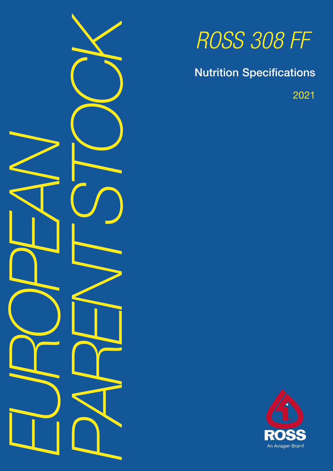

# *ROSS 308 FF*

Nutrition Specifications

2021

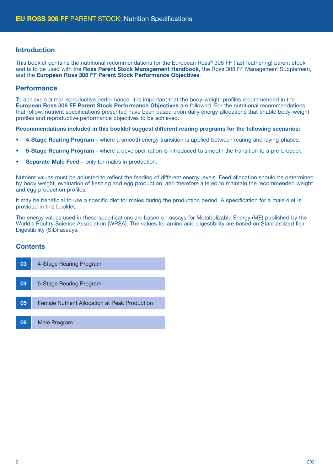#### Introduction

This booklet contains the nutritional recommendations for the European Ross® 308 FF (fast feathering) parent stock and is to be used with the Ross Parent Stock Management Handbook, the Ross 308 FF Management Supplement. and the European Ross 308 FF Parent Stock Performance Objectives.

#### **Performance**

To achieve optimal reproductive performance, it is important that the body-weight profiles recommended in the European Ross 308 FF Parent Stock Performance Objectives are followed. For the nutritional recommendations that follow, nutrient specifications presented have been based upon daily energy allocations that enable body-weight profiles and reproductive performance objectives to be achieved.

Recommendations included in this booklet suggest different rearing programs for the following scenarios:

- 4-Stage Rearing Program where a smooth energy transition is applied between rearing and laying phases.
- 5-Stage Rearing Program where a developer ration is introduced to smooth the transition to a pre-breeder.
- Separate Male Feed only for males in production.

Nutrient values must be adjusted to reflect the feeding of different energy levels. Feed allocation should be determined by body weight, evaluation of fleshing and egg production, and therefore altered to maintain the recommended weight and egg production profiles.

It may be beneficial to use a specific diet for males during the production period. A specification for a male diet is provided in this booklet.

The energy values used in these specifications are based on assays for Metabolizable Energy (ME) published by the World's Poultry Science Association (WPSA). The values for amino acid digestibility are based on Standardized Ileal Digestibility (SID) assays.

#### **Contents**

| 03 | 4-Stage Rearing Program                       |
|----|-----------------------------------------------|
|    |                                               |
| 04 | 5-Stage Rearing Program                       |
|    |                                               |
| 05 | Female Nutrient Allocation at Peak Production |
|    |                                               |
| 06 | Male Program                                  |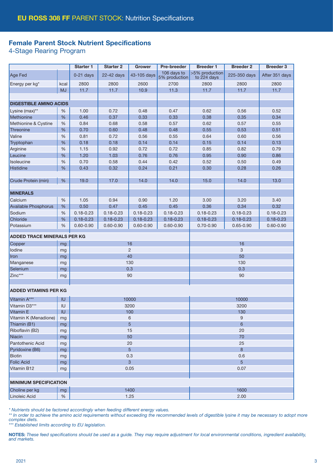### Female Parent Stock Nutrient Specifications

4-Stage Rearing Program

|                                    |           | Starter 1     | <b>Starter 2</b> | <b>Grower</b>  | Pre-breeder                  | <b>Breeder 1</b>              | <b>Breeder 2</b> | <b>Breeder 3</b> |  |
|------------------------------------|-----------|---------------|------------------|----------------|------------------------------|-------------------------------|------------------|------------------|--|
| Age Fed                            |           | $0-21$ days   | 22-42 days       | 43-105 days    | 106 days to<br>5% production | >5% production<br>to 224 days | 225-350 days     | After 351 days   |  |
| Energy per kg*                     | kcal      | 2800          | 2800             | 2600           | 2700                         | 2800                          | 2800             | 2800             |  |
|                                    | <b>MJ</b> | 11.7          | 11.7             | 10.9           | 11.3                         | 11.7                          | 11.7             | 11.7             |  |
|                                    |           |               |                  |                |                              |                               |                  |                  |  |
| <b>DIGESTIBLE AMINO ACIDS</b>      |           |               |                  |                |                              |                               |                  |                  |  |
| Lysine (max)**                     | %         | 1.00          | 0.72             | 0.48           | 0.47                         | 0.62                          | 0.56             | 0.52             |  |
| Methionine                         | %         | 0.46          | 0.37             | 0.33           | 0.33                         | 0.38                          | 0.35             | 0.34             |  |
| Methionine & Cystine               | $\%$      | 0.84          | 0.68             | 0.58           | 0.57                         | 0.62                          | 0.57             | 0.55             |  |
| Threonine                          | %         | 0.70          | 0.60             | 0.48           | 0.48                         | 0.55                          | 0.53             | 0.51             |  |
| Valine                             | %         | 0.81          | 0.72             | 0.56           | 0.55                         | 0.64                          | 0.60             | 0.56             |  |
| Tryptophan                         | $\%$      | 0.18          | 0.18             | 0.14           | 0.14                         | 0.15                          | 0.14             | 0.13             |  |
| Arginine                           | %         | 1.15          | 0.92             | 0.72           | 0.72                         | 0.85                          | 0.82             | 0.79             |  |
| Leucine                            | $\%$      | 1.20          | 1.03             | 0.76           | 0.76                         | 0.95                          | 0.90             | 0.86             |  |
| Isoleucine                         | %         | 0.70          | 0.58             | 0.44           | 0.42                         | 0.52                          | 0.50             | 0.49             |  |
| Histidine                          | %         | 0.43          | 0.32             | 0.24           | 0.21                         | 0.30                          | 0.28             | 0.26             |  |
|                                    |           |               |                  |                |                              |                               |                  |                  |  |
| Crude Protein (min)                | %         | 19.0          | 17.0             | 14.0           | 14.0                         | 15.0                          | 14.0             | 13.0             |  |
| <b>MINERALS</b>                    |           |               |                  |                |                              |                               |                  |                  |  |
| Calcium                            | %         | 1.05          | 0.94             | 0.90           | 1.20                         | 3.00                          | 3.20             | 3.40             |  |
| Available Phosphorus               | %         | 0.50          | 0.47             | 0.45           | 0.45                         | 0.36                          | 0.34             | 0.32             |  |
| Sodium                             | %         | $0.18 - 0.23$ | $0.18 - 0.23$    | $0.18 - 0.23$  | $0.18 - 0.23$                | $0.18 - 0.23$                 | $0.18 - 0.23$    | $0.18 - 0.23$    |  |
| Chloride                           | %         | $0.18 - 0.23$ | $0.18 - 0.23$    | $0.18 - 0.23$  | $0.18 - 0.23$                | $0.18 - 0.23$                 | $0.18 - 0.23$    | $0.18 - 0.23$    |  |
| Potassium                          | %         | $0.60 - 0.90$ | $0.60 - 0.90$    | $0.60 - 0.90$  | $0.60 - 0.90$                | $0.70 - 0.90$                 | $0.65 - 0.90$    | $0.60 - 0.90$    |  |
| <b>ADDED TRACE MINERALS PER KG</b> |           |               |                  |                |                              |                               |                  |                  |  |
| Copper                             | mg        |               |                  | 16             |                              |                               | 16               |                  |  |
| lodine                             | mg        |               |                  | $\overline{2}$ |                              | 3                             |                  |                  |  |
| Iron                               | mg        |               |                  | 40             |                              | 50                            |                  |                  |  |
| Manganese                          | mg        |               |                  | 130            |                              | 130                           |                  |                  |  |
| Selenium                           | mg        |               |                  | 0.3            |                              | 0.3                           |                  |                  |  |
| Zinc***                            | mg        |               |                  | 90             |                              | 90                            |                  |                  |  |
|                                    |           |               |                  |                |                              |                               |                  |                  |  |
| <b>ADDED VITAMINS PER KG</b>       |           |               |                  |                |                              |                               |                  |                  |  |
| Vitamin A***                       | <b>IU</b> |               |                  | 10000          |                              | 10000                         |                  |                  |  |
| Vitamin D3***                      | IU        |               |                  | 3200           |                              | 3200                          |                  |                  |  |
| Vitamin E                          | IU        |               |                  | 100            | 130                          |                               |                  |                  |  |
| Vitamin K (Menadione)              | mg        |               |                  | 6              | $9\,$                        |                               |                  |                  |  |
| Thiamin (B1)                       | mg        |               |                  | 5              | $6\phantom{1}$               |                               |                  |                  |  |
| Riboflavin (B2)                    | mg        |               |                  | 15             | 20                           |                               |                  |                  |  |
| Niacin                             | mg        |               |                  | 50             |                              | 70                            |                  |                  |  |
| Pantothenic Acid                   | mg        |               |                  | 20             | 25                           |                               |                  |                  |  |
| Pyridoxine (B6)                    | mg        |               |                  | 5              |                              | 8                             |                  |                  |  |
| Biotin                             | mg        |               |                  | 0.3            |                              | 0.6                           |                  |                  |  |
| <b>Folic Acid</b>                  | mg        |               |                  | 3              |                              | 5                             |                  |                  |  |
| Vitamin B12                        | mg        |               |                  | 0.05           |                              | 0.07                          |                  |                  |  |
|                                    |           |               |                  |                |                              |                               |                  |                  |  |
| <b>MINIMUM SPECIFICATION</b>       |           |               |                  |                |                              |                               |                  |                  |  |
| Choline per kg                     | mg        |               |                  | 1400           |                              |                               | 1600             |                  |  |
| Linoleic Acid                      | $\%$      |               | 1.25             |                |                              |                               | 2.00             |                  |  |

*\* Nutrients should be factored accordingly when feeding different energy values.* 

\*\* In order to achieve the amino acid requirements without exceeding the recommended levels of digestible lysine it may be necessary to adopt more *complex diets.*

*\*\*\* Established limits according to EU legislation.*

NOTES: *These feed specifications should be used as a guide. They may require adjustment for local environmental conditions, ingredient availability, and markets.*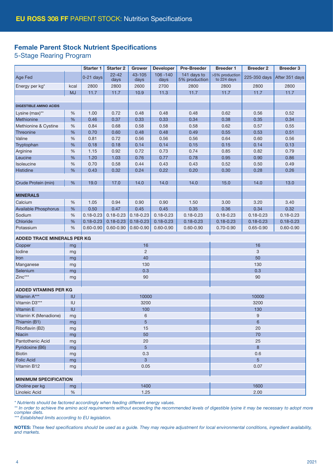## Female Parent Stock Nutrient Specifications

5-Stage Rearing Program

|                                    |                              | Starter 1     | <b>Starter 2</b>  | <b>Grower</b>  | <b>Developer</b>    | <b>Pre-Breeder</b>           | <b>Breeder 1</b>              | <b>Breeder 2</b> | <b>Breeder 3</b> |  |
|------------------------------------|------------------------------|---------------|-------------------|----------------|---------------------|------------------------------|-------------------------------|------------------|------------------|--|
| Age Fed                            |                              | $0-21$ days   | $22 - 42$<br>days | 43-105<br>days | $106 - 140$<br>days | 141 days to<br>5% production | >5% production<br>to 224 days | 225-350 days     | After 351 days   |  |
| Energy per kg <sup>*</sup>         | kcal                         | 2800          | 2800              | 2600           | 2700                | 2800                         | 2800                          | 2800             | 2800             |  |
|                                    | <b>MJ</b>                    | 11.7          | 11.7              | 10.9           | 11.3                | 11.7                         | 11.7                          | 11.7             | 11.7             |  |
|                                    |                              |               |                   |                |                     |                              |                               |                  |                  |  |
| <b>DIGESTIBLE AMINO ACIDS</b>      |                              |               |                   |                |                     |                              |                               |                  |                  |  |
| Lysine (max)**                     | %                            | 1.00          | 0.72              | 0.48           | 0.48                | 0.48                         | 0.62                          | 0.56             | 0.52             |  |
| Methionine                         | %                            | 0.46          | 0.37              | 0.33           | 0.33                | 0.34                         | 0.38                          | 0.35             | 0.34             |  |
| Methionine & Cystine               | $\%$                         | 0.84          | 0.68              | 0.58           | 0.58                | 0.58                         | 0.62                          | 0.57             | 0.55             |  |
| Threonine                          | %                            | 0.70          | 0.60              | 0.48           | 0.48                | 0.49                         | 0.55                          | 0.53             | 0.51             |  |
| Valine                             | %                            | 0.81          | 0.72              | 0.56           | 0.56                | 0.56                         | 0.64                          | 0.60             | 0.56             |  |
| Tryptophan                         | %                            | 0.18          | 0.18              | 0.14           | 0.14                | 0.15                         | 0.15                          | 0.14             | 0.13             |  |
| Arginine                           | %                            | 1.15          | 0.92              | 0.72           | 0.73                | 0.74                         | 0.85                          | 0.82             | 0.79             |  |
| Leucine                            | %                            | 1.20          | 1.03              | 0.76           | 0.77                | 0.78                         | 0.95                          | 0.90             | 0.86             |  |
| Isoleucine                         | %                            | 0.70          | 0.58              | 0.44           | 0.43                | 0.43                         | 0.52                          | 0.50             | 0.49             |  |
| Histidine                          | %                            | 0.43          | 0.32              | 0.24           | 0.22                | 0.20                         | 0.30                          | 0.28             | 0.26             |  |
|                                    |                              |               |                   |                |                     |                              |                               |                  |                  |  |
| Crude Protein (min)                | %                            | 19.0          | 17.0              | 14.0           | 14.0                | 14.0                         | 15.0                          | 14.0             | 13.0             |  |
| <b>MINERALS</b>                    |                              |               |                   |                |                     |                              |                               |                  |                  |  |
| Calcium                            | %                            | 1.05          | 0.94              | 0.90           | 0.90                | 1.50                         | 3.00                          | 3.20             | 3.40             |  |
| Available Phosphorus               | %                            | 0.50          | 0.47              | 0.45           | 0.45                | 0.35                         | 0.36                          | 0.34             | 0.32             |  |
| Sodium                             | %                            | $0.18 - 0.23$ | $0.18 - 0.23$     | $0.18 - 0.23$  | $0.18 - 0.23$       | $0.18 - 0.23$                | $0.18 - 0.23$                 | $0.18 - 0.23$    | $0.18 - 0.23$    |  |
| Chloride                           | %                            | $0.18 - 0.23$ | $0.18 - 0.23$     | $0.18 - 0.23$  | $0.18 - 0.23$       | $0.18 - 0.23$                | $0.18 - 0.23$                 | $0.18 - 0.23$    | $0.18 - 0.23$    |  |
| Potassium                          | %                            | $0.60 - 0.90$ | $0.60 - 0.90$     | $0.60 - 0.90$  | $0.60 - 0.90$       | $0.60 - 0.90$                | $0.70 - 0.90$                 | $0.65 - 0.90$    | $0.60 - 0.90$    |  |
|                                    |                              |               |                   |                |                     |                              |                               |                  |                  |  |
| <b>ADDED TRACE MINERALS PER KG</b> |                              |               |                   |                |                     |                              |                               |                  |                  |  |
| Copper                             | mg                           |               |                   | 16             |                     |                              | 16                            |                  |                  |  |
| lodine                             | mg                           |               |                   | $\overline{2}$ |                     |                              | 3                             |                  |                  |  |
| Iron                               | mg                           |               |                   | 40             |                     |                              | 50                            |                  |                  |  |
| Manganese                          | mg                           |               |                   | 130            |                     |                              | 130                           |                  |                  |  |
| Selenium                           | mg                           |               |                   | 0.3            |                     |                              | 0.3                           |                  |                  |  |
| Zinc***                            | mg                           |               |                   | 90             |                     |                              |                               | 90               |                  |  |
| <b>ADDED VITAMINS PER KG</b>       |                              |               |                   |                |                     |                              |                               |                  |                  |  |
| Vitamin A***                       | IU                           |               |                   | 10000          |                     |                              |                               | 10000            |                  |  |
| Vitamin D3***                      | IU                           |               |                   | 3200           |                     |                              | 3200                          |                  |                  |  |
| Vitamin E                          | IU                           |               |                   | 100            |                     |                              | 130                           |                  |                  |  |
| Vitamin K (Menadione)              | mg                           |               |                   | 6              |                     |                              |                               | $9\,$            |                  |  |
| Thiamin (B1)                       | mg                           |               |                   | 5              |                     |                              | 6                             |                  |                  |  |
| Riboflavin (B2)                    | mg                           |               | 15                |                |                     |                              |                               | 20               |                  |  |
| Niacin                             | mg                           |               | 50                |                |                     |                              |                               | 70               |                  |  |
| Pantothenic Acid                   | mg                           |               | 20                |                |                     |                              |                               | 25               |                  |  |
| Pyridoxine (B6)                    | mg                           |               | $5\phantom{.}$    |                |                     |                              |                               | 8                |                  |  |
| <b>Biotin</b>                      | mg                           |               | 0.3               |                |                     |                              |                               | 0.6              |                  |  |
| <b>Folic Acid</b>                  | mg                           |               | $\overline{3}$    |                |                     |                              |                               | 5                |                  |  |
| Vitamin B12                        | mg                           |               | 0.05              |                |                     |                              | 0.07                          |                  |                  |  |
|                                    |                              |               |                   |                |                     |                              |                               |                  |                  |  |
|                                    | <b>MINIMUM SPECIFICATION</b> |               |                   |                |                     |                              |                               |                  |                  |  |
| Choline per kg                     | mg                           |               |                   | 1400           |                     |                              |                               | 1600             |                  |  |
| Linoleic Acid                      | %                            |               | 1.25              |                |                     |                              |                               | 2.00             |                  |  |

*\* Nutrients should be factored accordingly when feeding different energy values.* 

\*\* In order to achieve the amino acid requirements without exceeding the recommended levels of digestible lysine it may be necessary to adopt more *complex diets.*

*\*\*\* Established limits according to EU legislation.*

NOTES: *These feed specifications should be used as a guide. They may require adjustment for local environmental conditions, ingredient availability, and markets.*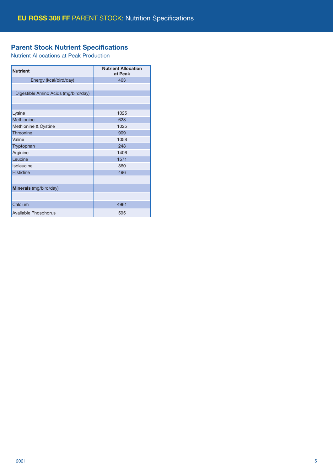# Parent Stock Nutrient Specifications

Nutrient Allocations at Peak Production

| <b>Nutrient</b>                      | <b>Nutrient Allocation</b><br>at Peak |
|--------------------------------------|---------------------------------------|
| Energy (kcal/bird/day)               | 463                                   |
|                                      |                                       |
| Digestible Amino Acids (mg/bird/day) |                                       |
|                                      |                                       |
|                                      |                                       |
| Lysine                               | 1025                                  |
| Methionine                           | 628                                   |
| Methionine & Cystine                 | 1025                                  |
| Threonine                            | 909                                   |
| Valine                               | 1058                                  |
| Tryptophan                           | 248                                   |
| Arginine                             | 1406                                  |
| Leucine                              | 1571                                  |
| Isoleucine                           | 860                                   |
| Histidine                            | 496                                   |
|                                      |                                       |
| Minerals (mg/bird/day)               |                                       |
|                                      |                                       |
| Calcium                              | 4961                                  |
| Available Phosphorus                 | 595                                   |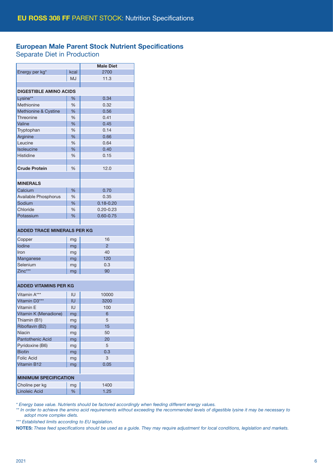## European Male Parent Stock Nutrient Specifications

Separate Diet in Production

|                                    |               | <b>Male Diet</b> |  |  |  |  |
|------------------------------------|---------------|------------------|--|--|--|--|
| Energy per kg*                     | kcal          | 2700             |  |  |  |  |
|                                    | MJ            | 11.3             |  |  |  |  |
|                                    |               |                  |  |  |  |  |
| <b>DIGESTIBLE AMINO ACIDS</b>      |               |                  |  |  |  |  |
| Lysine**                           | %             | 0.34             |  |  |  |  |
| Methionine                         | $\frac{0}{0}$ | 0.32             |  |  |  |  |
| Methionine & Cystine               | %             | 0.56             |  |  |  |  |
| Threonine                          | %             | 0.41             |  |  |  |  |
| Valine                             | %             | 0.45             |  |  |  |  |
| Tryptophan                         | %             | 0.14             |  |  |  |  |
| Arginine                           | %             | 0.66             |  |  |  |  |
| Leucine                            | %             | 0.64             |  |  |  |  |
| Isoleucine                         | %             | 0.40             |  |  |  |  |
| Histidine                          | $\frac{0}{0}$ | 0.15             |  |  |  |  |
|                                    |               |                  |  |  |  |  |
| <b>Crude Protein</b>               | %             | 12.0             |  |  |  |  |
|                                    |               |                  |  |  |  |  |
| <b>MINERALS</b>                    |               |                  |  |  |  |  |
| Calcium                            | $\%$          | 0.70             |  |  |  |  |
| Available Phosphorus               | %             | 0.35             |  |  |  |  |
| Sodium                             | %             | $0.18 - 0.20$    |  |  |  |  |
| Chloride                           | $\frac{0}{0}$ | $0.20 - 0.23$    |  |  |  |  |
| Potassium                          | $\%$          | $0.60 - 0.75$    |  |  |  |  |
|                                    |               |                  |  |  |  |  |
|                                    |               |                  |  |  |  |  |
| <b>ADDED TRACE MINERALS PER KG</b> |               |                  |  |  |  |  |
| Copper                             | mg            | 16               |  |  |  |  |
| lodine                             | mg            | $\overline{2}$   |  |  |  |  |
| Iron                               | mg            | 40               |  |  |  |  |
| Manganese                          | mg            | 120              |  |  |  |  |
| Selenium                           | mg            | 0.3              |  |  |  |  |
| Zinc***                            | mg            | 90               |  |  |  |  |
|                                    |               |                  |  |  |  |  |
| <b>ADDED VITAMINS PER KG</b>       |               |                  |  |  |  |  |
| Vitamin A***                       | IU            | 10000            |  |  |  |  |
| Vitamin D <sub>3</sub> ***         | IU            | 3200             |  |  |  |  |
| Vitamin E                          | IU            | 100              |  |  |  |  |
| Vitamin K (Menadione)              | mg            | 6                |  |  |  |  |
| Thiamin (B1)                       | mg            | 5                |  |  |  |  |
| Riboflavin (B2)                    | mg            | 15               |  |  |  |  |
| <b>Niacin</b>                      | mg            | 50               |  |  |  |  |
| <b>Pantothenic Acid</b>            | mg            | 20               |  |  |  |  |
| Pyridoxine (B6)                    | mg            | 5                |  |  |  |  |
| <b>Biotin</b>                      | mg            | 0.3              |  |  |  |  |
| <b>Folic Acid</b>                  | mg            | 3                |  |  |  |  |
| Vitamin B12                        | mg            | 0.05             |  |  |  |  |
|                                    |               |                  |  |  |  |  |
| <b>MINIMUM SPECIFICATION</b>       |               |                  |  |  |  |  |
| Choline per kg                     | mg            | 1400             |  |  |  |  |
| Linoleic Acid                      | %             | 1.25             |  |  |  |  |
|                                    |               |                  |  |  |  |  |

*\* Energy base value. Nutrients should be factored accordingly when feeding different energy values.* 

*\*\* In order to achieve the amino acid requirements without exceeding the recommended levels of digestible lysine it may be necessary to adopt more complex diets.*

*\*\*\* Established limits according to EU legislation.*

NOTES: *These feed specifications should be used as a guide. They may require adjustment for local conditions, legislation and markets.*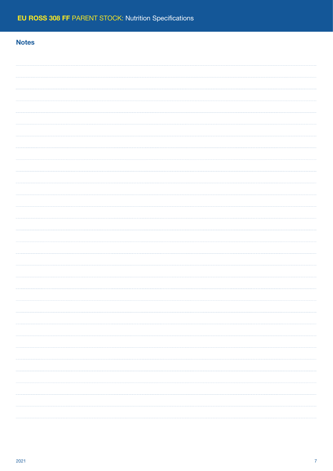## **Notes**